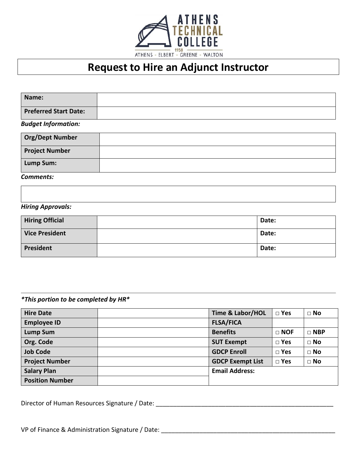

# **Request to Hire an Adjunct Instructor**

| Name:                        |  |
|------------------------------|--|
| <b>Preferred Start Date:</b> |  |
| <b>Budget Information:</b>   |  |
| <b>Org/Dept Number</b>       |  |
| <b>Project Number</b>        |  |
| Lump Sum:                    |  |

*Comments:*

#### *Hiring Approvals:*

| <b>Hiring Official</b> | Date: |
|------------------------|-------|
| <b>Vice President</b>  | Date: |
| President              | Date: |

*\*This portion to be completed by HR\**

| <b>Hire Date</b>       | <b>Time &amp; Labor/HOL</b> | $\square$ Yes | $\Box$ No  |
|------------------------|-----------------------------|---------------|------------|
| <b>Employee ID</b>     | <b>FLSA/FICA</b>            |               |            |
| <b>Lump Sum</b>        | <b>Benefits</b>             | $\Box$ NOF    | $\Box$ NBP |
| Org. Code              | <b>SUT Exempt</b>           | $\square$ Yes | $\Box$ No  |
| <b>Job Code</b>        | <b>GDCP Enroll</b>          | $\square$ Yes | $\Box$ No  |
| <b>Project Number</b>  | <b>GDCP Exempt List</b>     | $\square$ Yes | $\Box$ No  |
| <b>Salary Plan</b>     | <b>Email Address:</b>       |               |            |
| <b>Position Number</b> |                             |               |            |

Director of Human Resources Signature / Date: \_\_\_\_\_\_\_\_\_\_\_\_\_\_\_\_\_\_\_\_\_\_\_\_\_\_\_\_\_\_\_\_\_\_\_\_\_\_\_\_\_\_\_\_\_\_\_\_\_\_\_

VP of Finance & Administration Signature / Date: \_\_\_\_\_\_\_\_\_\_\_\_\_\_\_\_\_\_\_\_\_\_\_\_\_\_\_\_\_\_\_